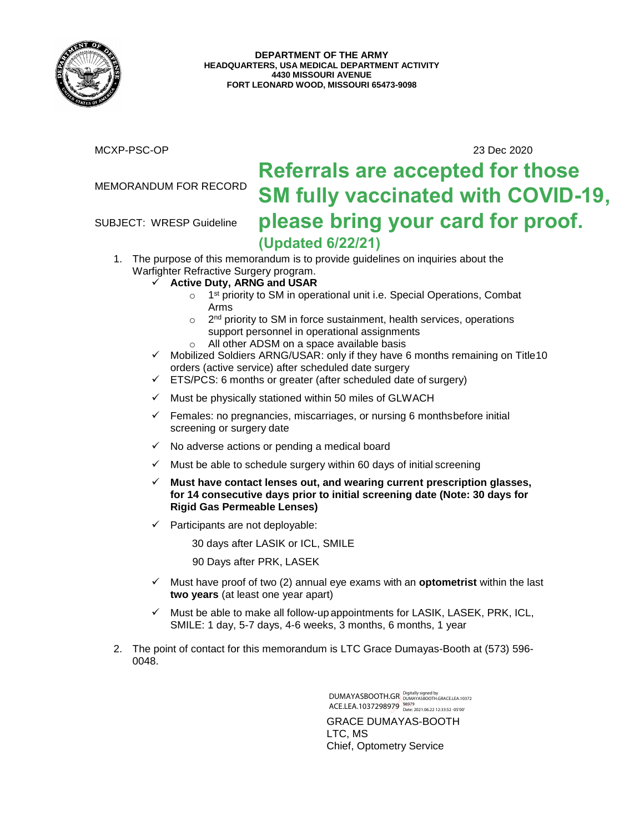

MCXP-PSC-OP 23 Dec 2020

### MEMORANDUM FOR RECORD

SUBJECT: WRESP Guideline

# **Referrals are accepted for those SM fully vaccinated with COVID-19, please bring your card for proof. (Updated 6/22/21)**

- 1. The purpose of this memorandum is to provide guidelines on inquiries about the Warfighter Refractive Surgery program.
	- **Active Duty, ARNG and USAR**
		- o 1<sup>st</sup> priority to SM in operational unit i.e. Special Operations, Combat Arms
		- o 2<sup>nd</sup> priority to SM in force sustainment, health services, operations support personnel in operational assignments
		- o All other ADSM on a space available basis
	- $\checkmark$  Mobilized Soldiers ARNG/USAR: only if they have 6 months remaining on Title10 orders (active service) after scheduled date surgery
	- $\checkmark$  ETS/PCS: 6 months or greater (after scheduled date of surgery)
	- $\checkmark$  Must be physically stationed within 50 miles of GLWACH
	- Females: no pregnancies, miscarriages, or nursing 6 monthsbefore initial screening or surgery date
	- $\checkmark$  No adverse actions or pending a medical board
	- $\checkmark$  Must be able to schedule surgery within 60 days of initial screening
	- **Must have contact lenses out, and wearing current prescription glasses, for 14 consecutive days prior to initial screening date (Note: 30 days for Rigid Gas Permeable Lenses)**
	- $\checkmark$  Participants are not deployable:

30 days after LASIK or ICL, SMILE

90 Days after PRK, LASEK

- Must have proof of two (2) annual eye exams with an **optometrist** within the last **two years** (at least one year apart)
- $\checkmark$  Must be able to make all follow-up appointments for LASIK, LASEK, PRK, ICL, SMILE: 1 day, 5-7 days, 4-6 weeks, 3 months, 6 months, 1 year
- 2. The point of contact for this memorandum is LTC Grace Dumayas-Booth at (573) 596- 0048.

GRACE DUMAYAS-BOOTH LTC, MS Chief, Optometry Service DUMAYASBOOTH.GR Digitally signed by **DUMAYASBOOTH.GR** ACE.LEA.1037298979 98979 Date: 2021.06.22 12:33:52 -05'00'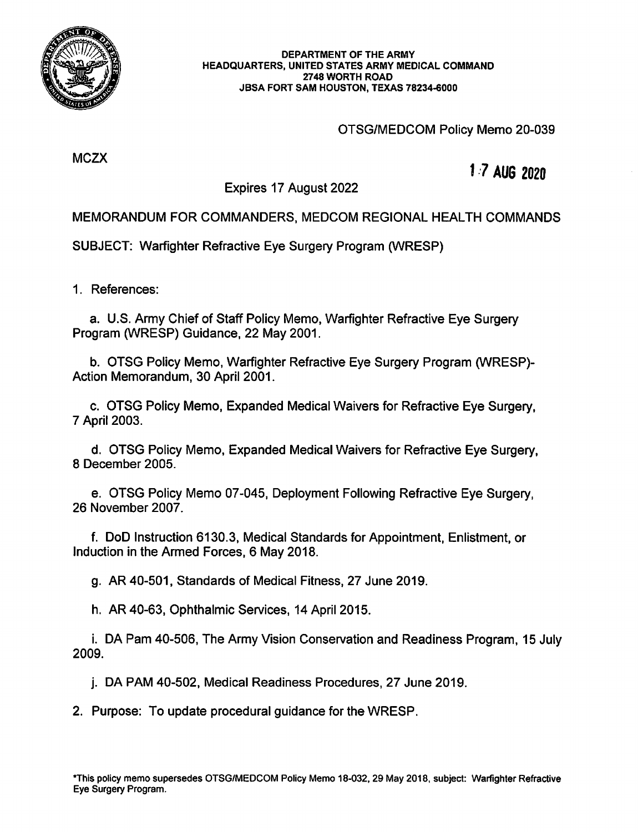

#### DEPARTMENT OF THE ARMY HEADQUARTERS, UNITED STATES ARMY MEDICAL COMMAND 2748 WORTH ROAD JBSA FORT SAM HOUSTON, TEXAS 78234-6000

## OTSG/MEDCOM Policy Memo 20-039

**MCZX** 

## 1.7 AUG 2020

Expires 17 August 2022

MEMORANDUM FOR COMMANDERS, MEDCOM REGIONAL HEALTH COMMANDS

**SUBJECT: Warfighter Refractive Eve Surgery Program (WRESP)** 

1. References:

a. U.S. Army Chief of Staff Policy Memo, Warfighter Refractive Eye Surgery Program (WRESP) Guidance, 22 May 2001.

b. OTSG Policy Memo, Warfighter Refractive Eye Surgery Program (WRESP)-Action Memorandum, 30 April 2001.

c. OTSG Policy Memo, Expanded Medical Waivers for Refractive Eye Surgery. 7 April 2003.

d. OTSG Policy Memo, Expanded Medical Waivers for Refractive Eve Surgery. 8 December 2005

e. OTSG Policy Memo 07-045, Deployment Following Refractive Eye Surgery. 26 November 2007.

f. DoD Instruction 6130.3, Medical Standards for Appointment, Enlistment, or Induction in the Armed Forces, 6 May 2018.

g. AR 40-501, Standards of Medical Fitness, 27 June 2019.

h. AR 40-63, Ophthalmic Services, 14 April 2015.

i. DA Pam 40-506, The Army Vision Conservation and Readiness Program, 15 July 2009.

j. DA PAM 40-502, Medical Readiness Procedures, 27 June 2019.

2. Purpose: To update procedural guidance for the WRESP.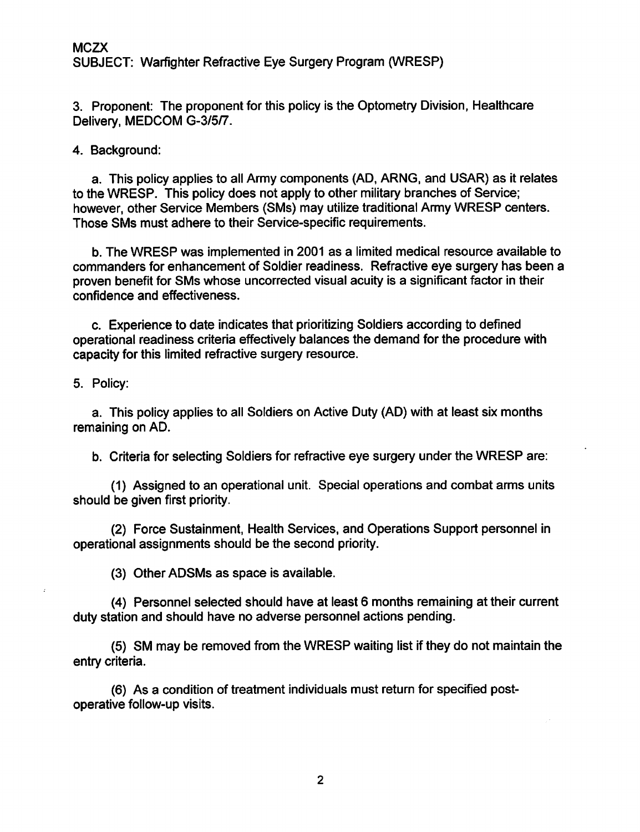3. Proponent: The proponent for this policy is the Optometry Division, Healthcare Delivery, MEDCOM G-3/5/7.

4. Background:

a. This policy applies to all Army components (AD, ARNG, and USAR) as it relates to the WRESP. This policy does not apply to other military branches of Service; however, other Service Members (SMs) may utilize traditional Army WRESP centers. Those SMs must adhere to their Service-specific requirements.

b. The WRESP was implemented in 2001 as a limited medical resource available to commanders for enhancement of Soldier readiness. Refractive eye surgery has been a proven benefit for SMs whose uncorrected visual acuity is a significant factor in their confidence and effectiveness.

c. Experience to date indicates that prioritizing Soldiers according to defined operational readiness criteria effectively balances the demand for the procedure with capacity for this limited refractive surgery resource.

5. Policy:

a. This policy applies to all Soldiers on Active Duty (AD) with at least six months remaining on AD.

b. Criteria for selecting Soldiers for refractive eye surgery under the WRESP are:

(1) Assigned to an operational unit. Special operations and combat arms units should be given first priority.

(2) Force Sustainment, Health Services, and Operations Support personnel in operational assignments should be the second priority.

(3) Other ADSMs as space is available.

(4) Personnel selected should have at least 6 months remaining at their current duty station and should have no adverse personnel actions pending.

(5) SM may be removed from the WRESP waiting list if they do not maintain the entry criteria.

(6) As a condition of treatment individuals must return for specified postoperative follow-up visits.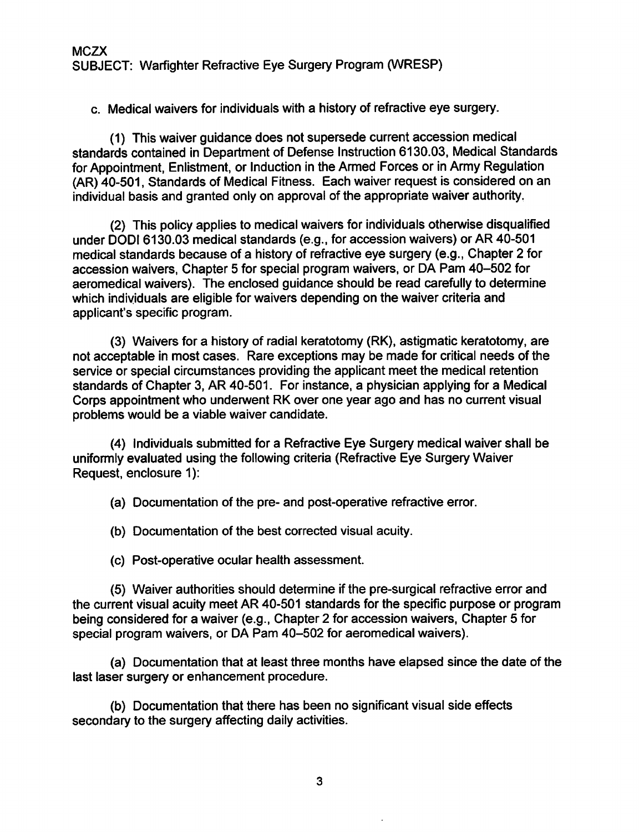c. Medical waivers for individuals with a history of refractive eye surgery.

(1) This waiver guidance does not supersede current accession medical standards contained in Department of Defense Instruction 6130.03. Medical Standards for Appointment, Enlistment, or Induction in the Armed Forces or in Army Regulation (AR) 40-501, Standards of Medical Fitness. Each waiver request is considered on an individual basis and granted only on approval of the appropriate waiver authority.

(2) This policy applies to medical waivers for individuals otherwise disqualified under DODI 6130.03 medical standards (e.g., for accession waivers) or AR 40-501 medical standards because of a history of refractive eye surgery (e.g., Chapter 2 for accession waivers, Chapter 5 for special program waivers, or DA Pam 40-502 for aeromedical waivers). The enclosed guidance should be read carefully to determine which individuals are eligible for waivers depending on the waiver criteria and applicant's specific program.

(3) Waivers for a history of radial keratotomy (RK), astigmatic keratotomy, are not acceptable in most cases. Rare exceptions may be made for critical needs of the service or special circumstances providing the applicant meet the medical retention standards of Chapter 3, AR 40-501. For instance, a physician applying for a Medical Corps appointment who underwent RK over one year ago and has no current visual problems would be a viable waiver candidate.

(4) Individuals submitted for a Refractive Eye Surgery medical waiver shall be uniformly evaluated using the following criteria (Refractive Eye Surgery Waiver Request, enclosure 1):

(a) Documentation of the pre- and post-operative refractive error.

(b) Documentation of the best corrected visual acuity.

(c) Post-operative ocular health assessment.

(5) Waiver authorities should determine if the pre-surgical refractive error and the current visual acuity meet AR 40-501 standards for the specific purpose or program being considered for a waiver (e.g., Chapter 2 for accession waivers, Chapter 5 for special program waivers, or DA Pam 40-502 for aeromedical waivers).

(a) Documentation that at least three months have elapsed since the date of the last laser surgery or enhancement procedure.

(b) Documentation that there has been no significant visual side effects secondary to the surgery affecting daily activities.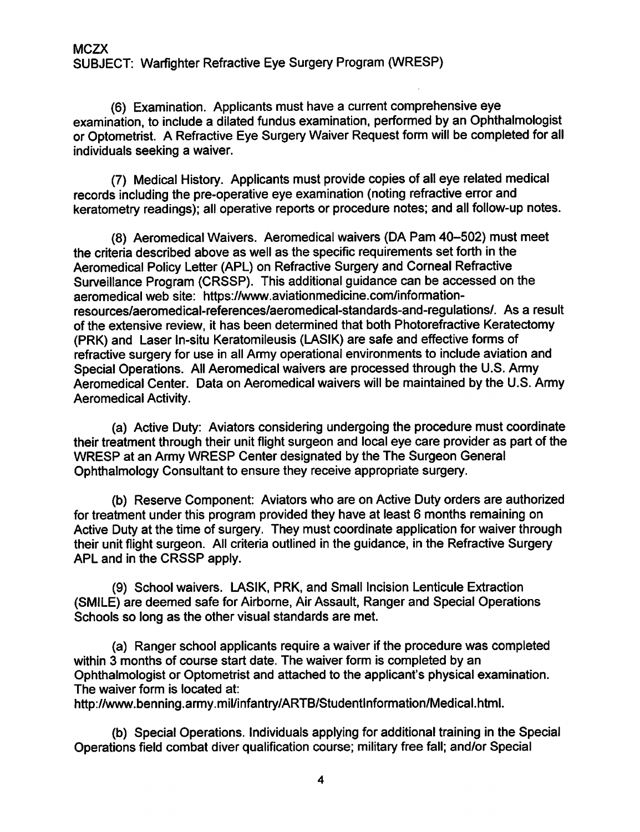**MCZX** SUBJECT: Warfighter Refractive Eye Surgery Program (WRESP)

(6) Examination. Applicants must have a current comprehensive eye examination, to include a dilated fundus examination, performed by an Ophthalmologist or Optometrist. A Refractive Eye Surgery Waiver Request form will be completed for all individuals seeking a waiver.

(7) Medical History. Applicants must provide copies of all eye related medical records including the pre-operative eye examination (noting refractive error and keratometry readings); all operative reports or procedure notes; and all follow-up notes.

(8) Aeromedical Waivers. Aeromedical waivers (DA Pam 40-502) must meet the criteria described above as well as the specific requirements set forth in the Aeromedical Policy Letter (APL) on Refractive Surgery and Corneal Refractive Surveillance Program (CRSSP). This additional guidance can be accessed on the aeromedical web site: https://www.aviationmedicine.com/informationresources/aeromedical-references/aeromedical-standards-and-regulations/. As a result of the extensive review, it has been determined that both Photorefractive Keratectomy (PRK) and Laser In-situ Keratomileusis (LASIK) are safe and effective forms of refractive surgery for use in all Army operational environments to include aviation and Special Operations. All Aeromedical waivers are processed through the U.S. Army Aeromedical Center. Data on Aeromedical waivers will be maintained by the U.S. Army **Aeromedical Activity.** 

(a) Active Duty: Aviators considering undergoing the procedure must coordinate their treatment through their unit flight surgeon and local eye care provider as part of the WRESP at an Army WRESP Center designated by the The Surgeon General Ophthalmology Consultant to ensure they receive appropriate surgery.

(b) Reserve Component: Aviators who are on Active Duty orders are authorized for treatment under this program provided they have at least 6 months remaining on Active Duty at the time of surgery. They must coordinate application for waiver through their unit flight surgeon. All criteria outlined in the guidance, in the Refractive Surgery APL and in the CRSSP apply.

(9) School waivers. LASIK, PRK, and Small Incision Lenticule Extraction (SMILE) are deemed safe for Airborne, Air Assault, Ranger and Special Operations Schools so long as the other visual standards are met.

(a) Ranger school applicants require a waiver if the procedure was completed within 3 months of course start date. The waiver form is completed by an Ophthalmologist or Optometrist and attached to the applicant's physical examination. The waiver form is located at:

http://www.benning.army.mil/infantry/ARTB/StudentInformation/Medical.html.

(b) Special Operations. Individuals applying for additional training in the Special Operations field combat diver qualification course; military free fall; and/or Special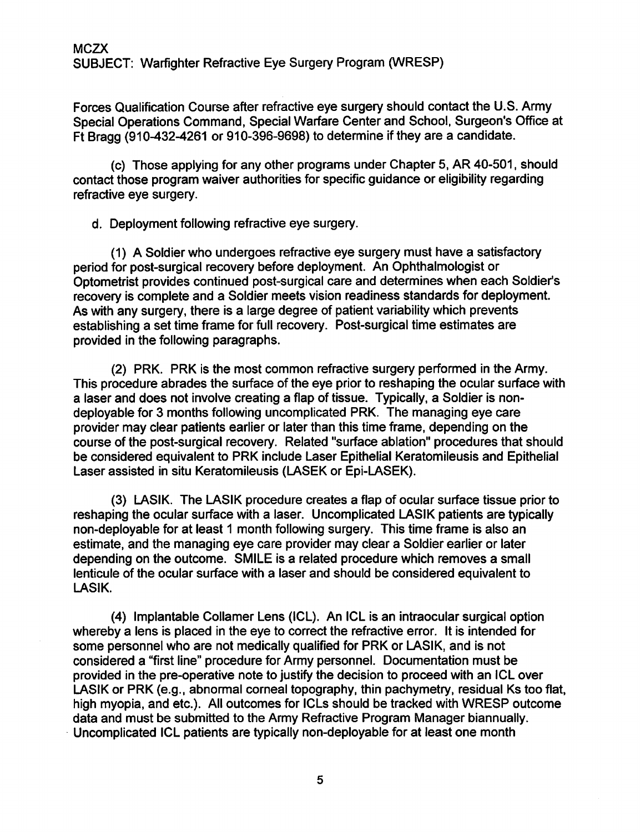**MCZX** SUBJECT: Warfighter Refractive Eye Surgery Program (WRESP)

Forces Qualification Course after refractive eye surgery should contact the U.S. Army Special Operations Command, Special Warfare Center and School, Surgeon's Office at Ft Bragg (910-432-4261 or 910-396-9698) to determine if they are a candidate.

(c) Those applying for any other programs under Chapter 5, AR 40-501, should contact those program waiver authorities for specific guidance or eligibility regarding refractive eve surgery.

d. Deployment following refractive eye surgery.

(1) A Soldier who undergoes refractive eye surgery must have a satisfactory period for post-surgical recovery before deployment. An Ophthalmologist or Optometrist provides continued post-surgical care and determines when each Soldier's recovery is complete and a Soldier meets vision readiness standards for deployment. As with any surgery, there is a large degree of patient variability which prevents establishing a set time frame for full recovery. Post-surgical time estimates are provided in the following paragraphs.

(2) PRK. PRK is the most common refractive surgery performed in the Army. This procedure abrades the surface of the eye prior to reshaping the ocular surface with a laser and does not involve creating a flap of tissue. Typically, a Soldier is nondeployable for 3 months following uncomplicated PRK. The managing eye care provider may clear patients earlier or later than this time frame, depending on the course of the post-surgical recovery. Related "surface ablation" procedures that should be considered equivalent to PRK include Laser Epithelial Keratomileusis and Epithelial Laser assisted in situ Keratomileusis (LASEK or Epi-LASEK).

(3) LASIK. The LASIK procedure creates a flap of ocular surface tissue prior to reshaping the ocular surface with a laser. Uncomplicated LASIK patients are typically non-deployable for at least 1 month following surgery. This time frame is also an estimate, and the managing eye care provider may clear a Soldier earlier or later depending on the outcome. SMILE is a related procedure which removes a small lenticule of the ocular surface with a laser and should be considered equivalent to LASIK.

(4) Implantable Collamer Lens (ICL). An ICL is an intraocular surgical option whereby a lens is placed in the eye to correct the refractive error. It is intended for some personnel who are not medically qualified for PRK or LASIK, and is not considered a "first line" procedure for Army personnel. Documentation must be provided in the pre-operative note to justify the decision to proceed with an ICL over LASIK or PRK (e.g., abnormal corneal topography, thin pachymetry, residual Ks too flat, high myopia, and etc.). All outcomes for ICLs should be tracked with WRESP outcome data and must be submitted to the Army Refractive Program Manager biannually. Uncomplicated ICL patients are typically non-deployable for at least one month